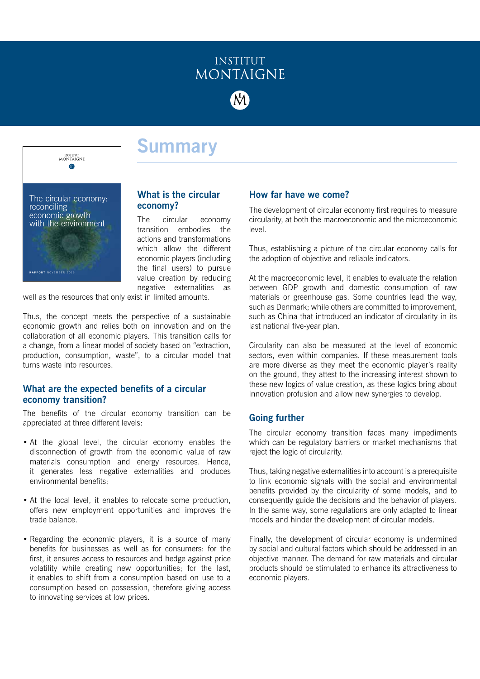

INSTITUT<br>MONTAIGNE **M** The circular economy: reconciling economic growth with the environment **RAPPORT** NOVEMBER 2016

# **Summary**

# **What is the circular economy?**

The circular economy transition embodies the actions and transformations which allow the different economic players (including the final users) to pursue value creation by reducing negative externalities as

well as the resources that only exist in limited amounts.

Thus, the concept meets the perspective of a sustainable economic growth and relies both on innovation and on the collaboration of all economic players. This transition calls for a change, from a linear model of society based on "extraction, production, consumption, waste", to a circular model that turns waste into resources.

# **What are the expected benefits of a circular economy transition?**

The benefits of the circular economy transition can be appreciated at three different levels:

- At the global level, the circular economy enables the disconnection of growth from the economic value of raw materials consumption and energy resources. Hence, it generates less negative externalities and produces environmental benefits;
- At the local level, it enables to relocate some production, offers new employment opportunities and improves the trade balance.
- Regarding the economic players, it is a source of many benefits for businesses as well as for consumers: for the first, it ensures access to resources and hedge against price volatility while creating new opportunities; for the last, it enables to shift from a consumption based on use to a consumption based on possession, therefore giving access to innovating services at low prices.

# **How far have we come?**

The development of circular economy first requires to measure circularity, at both the macroeconomic and the microeconomic level.

Thus, establishing a picture of the circular economy calls for the adoption of objective and reliable indicators.

At the macroeconomic level, it enables to evaluate the relation between GDP growth and domestic consumption of raw materials or greenhouse gas. Some countries lead the way, such as Denmark; while others are committed to improvement, such as China that introduced an indicator of circularity in its last national five-year plan.

Circularity can also be measured at the level of economic sectors, even within companies. If these measurement tools are more diverse as they meet the economic player's reality on the ground, they attest to the increasing interest shown to these new logics of value creation, as these logics bring about innovation profusion and allow new synergies to develop.

# **Going further**

The circular economy transition faces many impediments which can be regulatory barriers or market mechanisms that reject the logic of circularity.

Thus, taking negative externalities into account is a prerequisite to link economic signals with the social and environmental benefits provided by the circularity of some models, and to consequently guide the decisions and the behavior of players. In the same way, some regulations are only adapted to linear models and hinder the development of circular models.

Finally, the development of circular economy is undermined by social and cultural factors which should be addressed in an objective manner. The demand for raw materials and circular products should be stimulated to enhance its attractiveness to economic players.